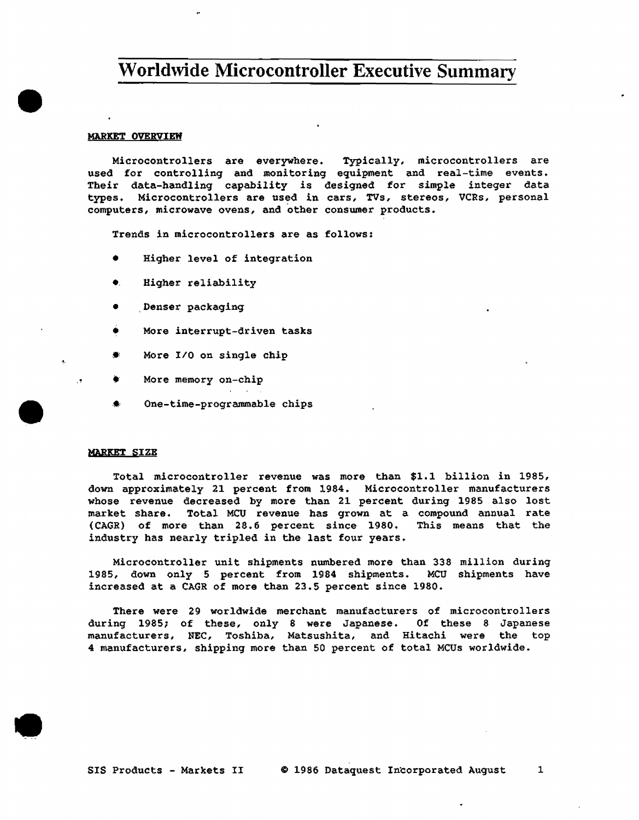## **Worldwide Microcontroller Executive Summary**

#### MARKET OVERVIEW

•

-~.

•

•

Microcontrollers are everywhere. Typically, microcontrollers are used for controlling and monitoring equipment and real-time events. Their data-handling capability is designed for simple integer data types. Microcontrollers are used in cars, TVs, stereos, VCRs, personal computers, microwave ovens, and other conswner products.

Trends in microcontrollers are as follows:

- Higher level of integration
- Higher reliability
- Denser packaging
- More interrupt-driven tasks
- More I/O on single chip
- More memory on-chip
- One-time-programmable chips

#### **MARKET** SIZE

Total microcontroller revenue was more than \$1.1 billion in 1985, down approximately 21 percent from 1984. Microcontroller manufacturers whose revenue decreased by more than 21 percent during 1985 also lost market share. Total MCU revenue has grown at a compound annual rate (CAGR) of more than 28.6 percent since 1980. This means that the  $(CAGR)$  of more than 28.6 percent since 1980. industry has nearly tripled in the last four years.

Microcontroller unit shipments nwnbered more than 338 million during 1985, down only 5 percent from 1984 shipments. MCU shipments have increased at a CAGR of more than 23.5 percent since 1980.

There were 29 worldwide merchant manufacturers of microcontrollers during 1985; of these, only 8 were Japanese. Of these 8 Japanese manufacturers, NEC, Toshiba, Matsushita, and Hitachi were the top 4 manufacturers, shipping more than 50 percent of total MCUs worldwide •